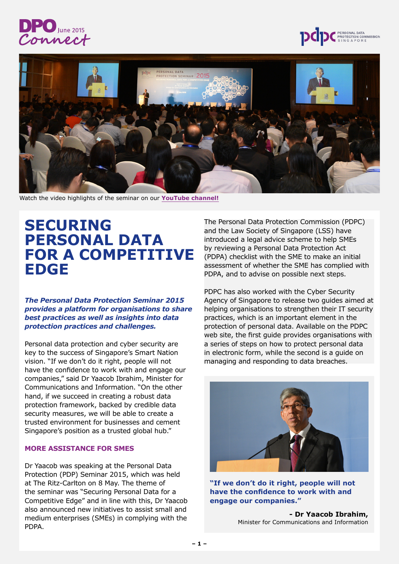





Watch the video highlights of the seminar on our **[YouTube channel!](http://youtu.be/t8D9JULYdDs)**

## **SECURING PERSONAL DATA FOR A COMPETITIVE EDGE**

*The Personal Data Protection Seminar 2015 provides a platform for organisations to share best practices as well as insights into data protection practices and challenges.*

Personal data protection and cyber security are key to the success of Singapore's Smart Nation vision. "If we don't do it right, people will not have the confidence to work with and engage our companies," said Dr Yaacob Ibrahim, Minister for Communications and Information. "On the other hand, if we succeed in creating a robust data protection framework, backed by credible data security measures, we will be able to create a trusted environment for businesses and cement Singapore's position as a trusted global hub."

## **MORE ASSISTANCE FOR SMES**

Dr Yaacob was speaking at the Personal Data Protection (PDP) Seminar 2015, which was held at The Ritz-Carlton on 8 May. The theme of the seminar was "Securing Personal Data for a Competitive Edge" and in line with this, Dr Yaacob also announced new initiatives to assist small and medium enterprises (SMEs) in complying with the PDPA.

The Personal Data Protection Commission (PDPC) and the Law Society of Singapore (LSS) have introduced a legal advice scheme to help SMEs by reviewing a Personal Data Protection Act (PDPA) checklist with the SME to make an initial assessment of whether the SME has complied with PDPA, and to advise on possible next steps.

PDPC has also worked with the Cyber Security Agency of Singapore to release two guides aimed at helping organisations to strengthen their IT security practices, which is an important element in the protection of personal data. Available on the PDPC web site, the first quide provides organisations with a series of steps on how to protect personal data in electronic form, while the second is a guide on managing and responding to data breaches.



**"If we don't do it right, people will not have the confidence to work with and engage our companies."**

**- Dr Yaacob Ibrahim,**  Minister for Communications and Information